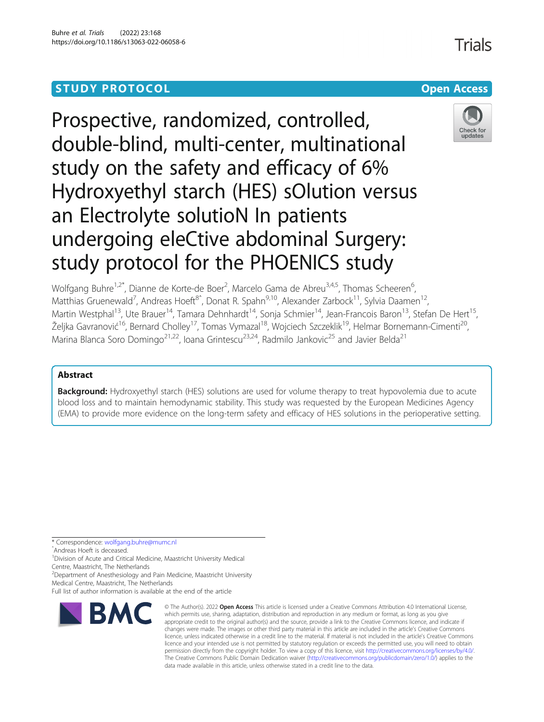# **STUDY PROTOCOL CONSUMING THE RESERVE ACCESS**



Prospective, randomized, controlled, double-blind, multi-center, multinational study on the safety and efficacy of 6% Hydroxyethyl starch (HES) sOlution versus an Electrolyte solutioN In patients undergoing eleCtive abdominal Surgery: study protocol for the PHOENICS study

Wolfgang Buhre<sup>1,2\*</sup>, Dianne de Korte-de Boer<sup>2</sup>, Marcelo Gama de Abreu<sup>3,4,5</sup>, Thomas Scheeren<sup>6</sup> .<br>, Matthias Gruenewald<sup>7</sup>, Andreas Hoeft<sup>8</sup>ˆ, Donat R. Spahn<sup>9,10</sup>, Alexander Zarbock<sup>11</sup>, Sylvia Daamen<sup>12</sup>, Martin Westphal<sup>13</sup>, Ute Brauer<sup>14</sup>, Tamara Dehnhardt<sup>14</sup>, Sonja Schmier<sup>14</sup>, Jean-Francois Baron<sup>13</sup>, Stefan De Hert<sup>15</sup>, Željka Gavranović<sup>16</sup>, Bernard Cholley<sup>17</sup>, Tomas Vymazal<sup>18</sup>, Wojciech Szczeklik<sup>19</sup>, Helmar Bornemann-Cimenti<sup>20</sup>, Marina Blanca Soro Domingo<sup>21,22</sup>, Ioana Grintescu<sup>23,24</sup>, Radmilo Jankovic<sup>25</sup> and Javier Belda<sup>21</sup>

## Abstract

Background: Hydroxyethyl starch (HES) solutions are used for volume therapy to treat hypovolemia due to acute blood loss and to maintain hemodynamic stability. This study was requested by the European Medicines Agency (EMA) to provide more evidence on the long-term safety and efficacy of HES solutions in the perioperative setting.

\* Correspondence: [wolfgang.buhre@mumc.nl](mailto:wolfgang.buhre@mumc.nl) <sup>ˆ</sup>Andreas Hoeft is deceased.

<sup>1</sup> Division of Acute and Critical Medicine, Maastricht University Medical

Centre, Maastricht, The Netherlands <sup>2</sup>Department of Anesthesiology and Pain Medicine, Maastricht University

Full list of author information is available at the end of the article



<sup>©</sup> The Author(s), 2022 **Open Access** This article is licensed under a Creative Commons Attribution 4.0 International License, which permits use, sharing, adaptation, distribution and reproduction in any medium or format, as long as you give appropriate credit to the original author(s) and the source, provide a link to the Creative Commons licence, and indicate if changes were made. The images or other third party material in this article are included in the article's Creative Commons licence, unless indicated otherwise in a credit line to the material. If material is not included in the article's Creative Commons licence and your intended use is not permitted by statutory regulation or exceeds the permitted use, you will need to obtain permission directly from the copyright holder. To view a copy of this licence, visit [http://creativecommons.org/licenses/by/4.0/.](http://creativecommons.org/licenses/by/4.0/) The Creative Commons Public Domain Dedication waiver [\(http://creativecommons.org/publicdomain/zero/1.0/](http://creativecommons.org/publicdomain/zero/1.0/)) applies to the data made available in this article, unless otherwise stated in a credit line to the data.

Medical Centre, Maastricht, The Netherlands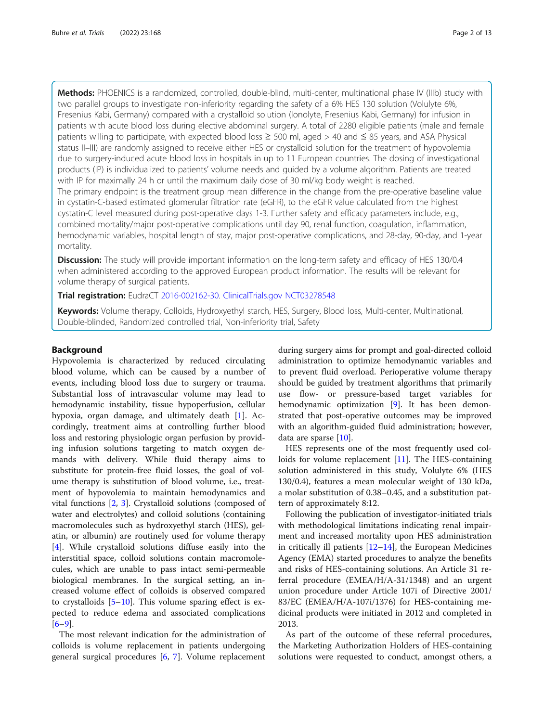Methods: PHOENICS is a randomized, controlled, double-blind, multi-center, multinational phase IV (IIIb) study with two parallel groups to investigate non-inferiority regarding the safety of a 6% HES 130 solution (Volulyte 6%, Fresenius Kabi, Germany) compared with a crystalloid solution (Ionolyte, Fresenius Kabi, Germany) for infusion in patients with acute blood loss during elective abdominal surgery. A total of 2280 eligible patients (male and female patients willing to participate, with expected blood loss ≥ 500 ml, aged > 40 and ≤ 85 years, and ASA Physical status II–III) are randomly assigned to receive either HES or crystalloid solution for the treatment of hypovolemia due to surgery-induced acute blood loss in hospitals in up to 11 European countries. The dosing of investigational products (IP) is individualized to patients' volume needs and guided by a volume algorithm. Patients are treated with IP for maximally 24 h or until the maximum daily dose of 30 ml/kg body weight is reached.

The primary endpoint is the treatment group mean difference in the change from the pre-operative baseline value in cystatin-C-based estimated glomerular filtration rate (eGFR), to the eGFR value calculated from the highest cystatin-C level measured during post-operative days 1-3. Further safety and efficacy parameters include, e.g., combined mortality/major post-operative complications until day 90, renal function, coagulation, inflammation, hemodynamic variables, hospital length of stay, major post-operative complications, and 28-day, 90-day, and 1-year mortality.

**Discussion:** The study will provide important information on the long-term safety and efficacy of HES 130/0.4 when administered according to the approved European product information. The results will be relevant for volume therapy of surgical patients.

Trial registration: EudraCT [2016-002162-30.](https://www.clinicaltrialsregister.eu/ctr-search/trial/2016-002162-30/HR/) [ClinicalTrials.gov](http://clinicaltrials.gov) [NCT03278548](https://clinicaltrials.gov/ct2/show/NCT03278548?term=NCT03278548&draw=2&rank=1)

Keywords: Volume therapy, Colloids, Hydroxyethyl starch, HES, Surgery, Blood loss, Multi-center, Multinational, Double-blinded, Randomized controlled trial, Non-inferiority trial, Safety

#### Background

Hypovolemia is characterized by reduced circulating blood volume, which can be caused by a number of events, including blood loss due to surgery or trauma. Substantial loss of intravascular volume may lead to hemodynamic instability, tissue hypoperfusion, cellular hypoxia, organ damage, and ultimately death [\[1](#page-11-0)]. Accordingly, treatment aims at controlling further blood loss and restoring physiologic organ perfusion by providing infusion solutions targeting to match oxygen demands with delivery. While fluid therapy aims to substitute for protein-free fluid losses, the goal of volume therapy is substitution of blood volume, i.e., treatment of hypovolemia to maintain hemodynamics and vital functions [\[2](#page-11-0), [3\]](#page-11-0). Crystalloid solutions (composed of water and electrolytes) and colloid solutions (containing macromolecules such as hydroxyethyl starch (HES), gelatin, or albumin) are routinely used for volume therapy [[4\]](#page-11-0). While crystalloid solutions diffuse easily into the interstitial space, colloid solutions contain macromolecules, which are unable to pass intact semi-permeable biological membranes. In the surgical setting, an increased volume effect of colloids is observed compared to crystalloids [[5](#page-11-0)–[10](#page-11-0)]. This volume sparing effect is expected to reduce edema and associated complications  $[6-9]$  $[6-9]$  $[6-9]$  $[6-9]$ .

The most relevant indication for the administration of colloids is volume replacement in patients undergoing general surgical procedures [\[6](#page-11-0), [7](#page-11-0)]. Volume replacement

during surgery aims for prompt and goal-directed colloid administration to optimize hemodynamic variables and to prevent fluid overload. Perioperative volume therapy should be guided by treatment algorithms that primarily use flow- or pressure-based target variables for hemodynamic optimization [[9](#page-11-0)]. It has been demonstrated that post-operative outcomes may be improved with an algorithm-guided fluid administration; however, data are sparse [[10](#page-11-0)].

HES represents one of the most frequently used colloids for volume replacement [[11](#page-12-0)]. The HES-containing solution administered in this study, Volulyte 6% (HES 130/0.4), features a mean molecular weight of 130 kDa, a molar substitution of 0.38–0.45, and a substitution pattern of approximately 8:12.

Following the publication of investigator-initiated trials with methodological limitations indicating renal impairment and increased mortality upon HES administration in critically ill patients [[12](#page-12-0)–[14](#page-12-0)], the European Medicines Agency (EMA) started procedures to analyze the benefits and risks of HES-containing solutions. An Article 31 referral procedure (EMEA/H/A-31/1348) and an urgent union procedure under Article 107i of Directive 2001/ 83/EC (EMEA/H/A-107i/1376) for HES-containing medicinal products were initiated in 2012 and completed in 2013.

As part of the outcome of these referral procedures, the Marketing Authorization Holders of HES-containing solutions were requested to conduct, amongst others, a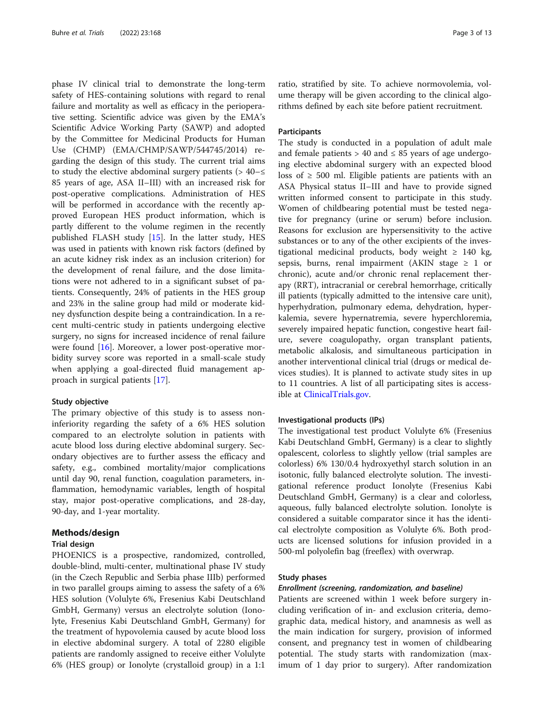phase IV clinical trial to demonstrate the long-term safety of HES-containing solutions with regard to renal failure and mortality as well as efficacy in the perioperative setting. Scientific advice was given by the EMA's Scientific Advice Working Party (SAWP) and adopted by the Committee for Medicinal Products for Human Use (CHMP) (EMA/CHMP/SAWP/544745/2014) regarding the design of this study. The current trial aims to study the elective abdominal surgery patients  $(> 40- \le$ 85 years of age, ASA II–III) with an increased risk for post-operative complications. Administration of HES will be performed in accordance with the recently approved European HES product information, which is partly different to the volume regimen in the recently published FLASH study [[15\]](#page-12-0). In the latter study, HES was used in patients with known risk factors (defined by an acute kidney risk index as an inclusion criterion) for the development of renal failure, and the dose limitations were not adhered to in a significant subset of patients. Consequently, 24% of patients in the HES group and 23% in the saline group had mild or moderate kidney dysfunction despite being a contraindication. In a recent multi-centric study in patients undergoing elective surgery, no signs for increased incidence of renal failure were found [\[16\]](#page-12-0). Moreover, a lower post-operative morbidity survey score was reported in a small-scale study when applying a goal-directed fluid management approach in surgical patients [\[17](#page-12-0)].

## Study objective

The primary objective of this study is to assess noninferiority regarding the safety of a 6% HES solution compared to an electrolyte solution in patients with acute blood loss during elective abdominal surgery. Secondary objectives are to further assess the efficacy and safety, e.g., combined mortality/major complications until day 90, renal function, coagulation parameters, inflammation, hemodynamic variables, length of hospital stay, major post-operative complications, and 28-day, 90-day, and 1-year mortality.

## Methods/design

## Trial design

PHOENICS is a prospective, randomized, controlled, double-blind, multi-center, multinational phase IV study (in the Czech Republic and Serbia phase IIIb) performed in two parallel groups aiming to assess the safety of a 6% HES solution (Volulyte 6%, Fresenius Kabi Deutschland GmbH, Germany) versus an electrolyte solution (Ionolyte, Fresenius Kabi Deutschland GmbH, Germany) for the treatment of hypovolemia caused by acute blood loss in elective abdominal surgery. A total of 2280 eligible patients are randomly assigned to receive either Volulyte 6% (HES group) or Ionolyte (crystalloid group) in a 1:1

ratio, stratified by site. To achieve normovolemia, volume therapy will be given according to the clinical algorithms defined by each site before patient recruitment.

## **Participants**

The study is conducted in a population of adult male and female patients > 40 and  $\leq$  85 years of age undergoing elective abdominal surgery with an expected blood loss of  $\geq$  500 ml. Eligible patients are patients with an ASA Physical status II–III and have to provide signed written informed consent to participate in this study. Women of childbearing potential must be tested negative for pregnancy (urine or serum) before inclusion. Reasons for exclusion are hypersensitivity to the active substances or to any of the other excipients of the investigational medicinal products, body weight  $\geq$  140 kg, sepsis, burns, renal impairment (AKIN stage  $\geq 1$  or chronic), acute and/or chronic renal replacement therapy (RRT), intracranial or cerebral hemorrhage, critically ill patients (typically admitted to the intensive care unit), hyperhydration, pulmonary edema, dehydration, hyperkalemia, severe hypernatremia, severe hyperchloremia, severely impaired hepatic function, congestive heart failure, severe coagulopathy, organ transplant patients, metabolic alkalosis, and simultaneous participation in another interventional clinical trial (drugs or medical devices studies). It is planned to activate study sites in up to 11 countries. A list of all participating sites is accessible at [ClinicalTrials.gov.](http://clinicaltrials.gov)

#### Investigational products (IPs)

The investigational test product Volulyte 6% (Fresenius Kabi Deutschland GmbH, Germany) is a clear to slightly opalescent, colorless to slightly yellow (trial samples are colorless) 6% 130/0.4 hydroxyethyl starch solution in an isotonic, fully balanced electrolyte solution. The investigational reference product Ionolyte (Fresenius Kabi Deutschland GmbH, Germany) is a clear and colorless, aqueous, fully balanced electrolyte solution. Ionolyte is considered a suitable comparator since it has the identical electrolyte composition as Volulyte 6%. Both products are licensed solutions for infusion provided in a 500-ml polyolefin bag (freeflex) with overwrap.

## Study phases

#### Enrollment (screening, randomization, and baseline)

Patients are screened within 1 week before surgery including verification of in- and exclusion criteria, demographic data, medical history, and anamnesis as well as the main indication for surgery, provision of informed consent, and pregnancy test in women of childbearing potential. The study starts with randomization (maximum of 1 day prior to surgery). After randomization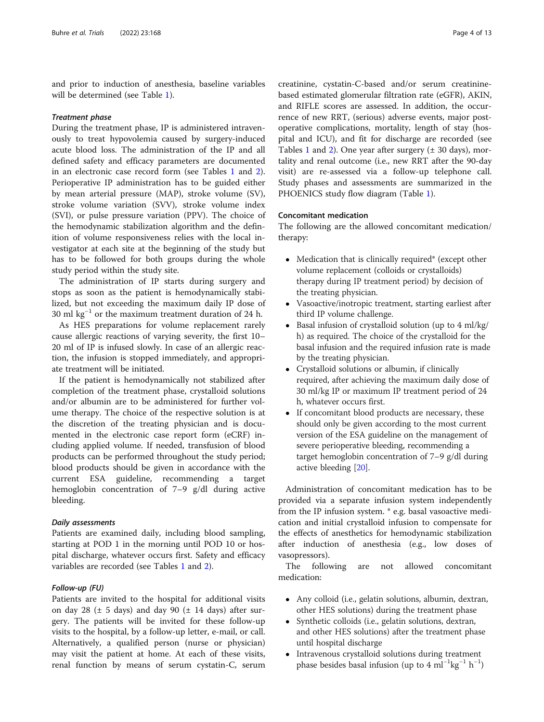and prior to induction of anesthesia, baseline variables will be determined (see Table [1\)](#page-4-0).

#### Treatment phase

During the treatment phase, IP is administered intravenously to treat hypovolemia caused by surgery-induced acute blood loss. The administration of the IP and all defined safety and efficacy parameters are documented in an electronic case record form (see Tables [1](#page-4-0) and [2](#page-7-0)). Perioperative IP administration has to be guided either by mean arterial pressure (MAP), stroke volume (SV), stroke volume variation (SVV), stroke volume index (SVI), or pulse pressure variation (PPV). The choice of the hemodynamic stabilization algorithm and the definition of volume responsiveness relies with the local investigator at each site at the beginning of the study but has to be followed for both groups during the whole study period within the study site.

The administration of IP starts during surgery and stops as soon as the patient is hemodynamically stabilized, but not exceeding the maximum daily IP dose of 30 ml  $kg^{-1}$  or the maximum treatment duration of 24 h.

As HES preparations for volume replacement rarely cause allergic reactions of varying severity, the first 10– 20 ml of IP is infused slowly. In case of an allergic reaction, the infusion is stopped immediately, and appropriate treatment will be initiated.

If the patient is hemodynamically not stabilized after completion of the treatment phase, crystalloid solutions and/or albumin are to be administered for further volume therapy. The choice of the respective solution is at the discretion of the treating physician and is documented in the electronic case report form (eCRF) including applied volume. If needed, transfusion of blood products can be performed throughout the study period; blood products should be given in accordance with the current ESA guideline, recommending a target hemoglobin concentration of 7–9 g/dl during active bleeding.

### Daily assessments

Patients are examined daily, including blood sampling, starting at POD 1 in the morning until POD 10 or hospital discharge, whatever occurs first. Safety and efficacy variables are recorded (see Tables [1](#page-4-0) and [2\)](#page-7-0).

## Follow-up (FU)

Patients are invited to the hospital for additional visits on day 28 ( $\pm$  5 days) and day 90 ( $\pm$  14 days) after surgery. The patients will be invited for these follow-up visits to the hospital, by a follow-up letter, e-mail, or call. Alternatively, a qualified person (nurse or physician) may visit the patient at home. At each of these visits, renal function by means of serum cystatin-C, serum

creatinine, cystatin-C-based and/or serum creatininebased estimated glomerular filtration rate (eGFR), AKIN, and RIFLE scores are assessed. In addition, the occurrence of new RRT, (serious) adverse events, major postoperative complications, mortality, length of stay (hospital and ICU), and fit for discharge are recorded (see Tables [1](#page-4-0) and [2\)](#page-7-0). One year after surgery  $(\pm 30 \text{ days})$ , mortality and renal outcome (i.e., new RRT after the 90-day visit) are re-assessed via a follow-up telephone call. Study phases and assessments are summarized in the PHOENICS study flow diagram (Table [1\)](#page-4-0).

## Concomitant medication

The following are the allowed concomitant medication/ therapy:

- Medication that is clinically required\* (except other volume replacement (colloids or crystalloids) therapy during IP treatment period) by decision of the treating physician.
- Vasoactive/inotropic treatment, starting earliest after third IP volume challenge.
- Basal infusion of crystalloid solution (up to 4 ml/kg/ h) as required. The choice of the crystalloid for the basal infusion and the required infusion rate is made by the treating physician.
- Crystalloid solutions or albumin, if clinically required, after achieving the maximum daily dose of 30 ml/kg IP or maximum IP treatment period of 24 h, whatever occurs first.
- If concomitant blood products are necessary, these should only be given according to the most current version of the ESA guideline on the management of severe perioperative bleeding, recommending a target hemoglobin concentration of 7–9 g/dl during active bleeding [\[20](#page-12-0)].

Administration of concomitant medication has to be provided via a separate infusion system independently from the IP infusion system. \* e.g. basal vasoactive medication and initial crystalloid infusion to compensate for the effects of anesthetics for hemodynamic stabilization after induction of anesthesia (e.g., low doses of vasopressors).

The following are not allowed concomitant medication:

- Any colloid (i.e., gelatin solutions, albumin, dextran, other HES solutions) during the treatment phase
- Synthetic colloids (i.e., gelatin solutions, dextran, and other HES solutions) after the treatment phase until hospital discharge
- Intravenous crystalloid solutions during treatment phase besides basal infusion (up to 4 ml<sup>-1</sup>kg<sup>-1</sup> h<sup>-1</sup>)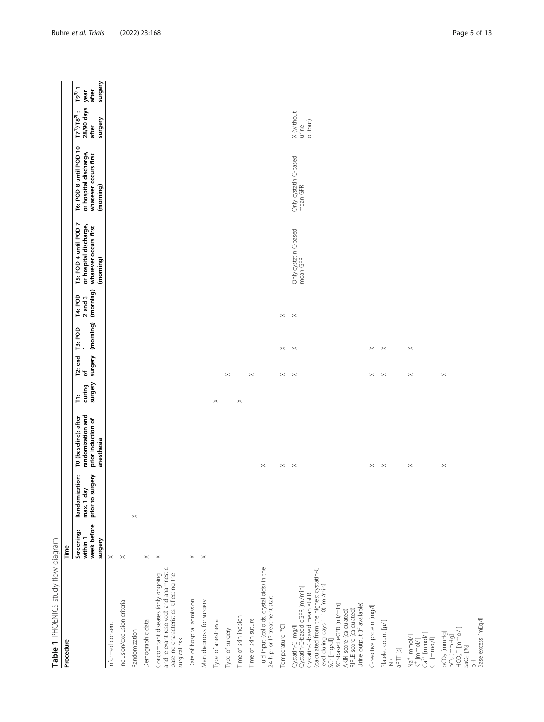<span id="page-4-0"></span>

| Table 1 PHOENICS study flow diagram                                                                                                                                                                                                                                                              |                                                  |                                                  |                                                                               |                        |                          |                             |                                     |                                                                                       |                                                                                        |                                                                                  |                                                |
|--------------------------------------------------------------------------------------------------------------------------------------------------------------------------------------------------------------------------------------------------------------------------------------------------|--------------------------------------------------|--------------------------------------------------|-------------------------------------------------------------------------------|------------------------|--------------------------|-----------------------------|-------------------------------------|---------------------------------------------------------------------------------------|----------------------------------------------------------------------------------------|----------------------------------------------------------------------------------|------------------------------------------------|
| Procedure                                                                                                                                                                                                                                                                                        | Time                                             |                                                  |                                                                               |                        |                          |                             |                                     |                                                                                       |                                                                                        |                                                                                  |                                                |
|                                                                                                                                                                                                                                                                                                  | week before<br>Screening:<br>within 1<br>surgery | Randomization:<br>prior to surgery<br>max. 1 day | randomization and<br>T0 (baseline): after<br>prior induction of<br>anesthesia | surgery<br>during<br>Ë | surgery<br>T2: end<br>৳  | (morning)<br><b>T3: POD</b> | (morning)<br>T4: POD<br>$2$ and $3$ | T5: POD 4 until POD 7<br>or hospital discharge,<br>whatever occurs first<br>(morning) | T6: POD 8 until POD 10<br>or hospital discharge,<br>whatever occurs first<br>(morning) | 28/90 days<br>$\ddot{\phantom{0}}\cdot$<br>$17^{11}/18^{21}$<br>surgery<br>after | surgery<br>$\frac{1}{19^{3}}$<br>after<br>year |
| Informed consent                                                                                                                                                                                                                                                                                 | $\times$                                         |                                                  |                                                                               |                        |                          |                             |                                     |                                                                                       |                                                                                        |                                                                                  |                                                |
| Inclusion/exclusion criteria                                                                                                                                                                                                                                                                     | $\times$                                         |                                                  |                                                                               |                        |                          |                             |                                     |                                                                                       |                                                                                        |                                                                                  |                                                |
| Randomization                                                                                                                                                                                                                                                                                    |                                                  | $\! \times$                                      |                                                                               |                        |                          |                             |                                     |                                                                                       |                                                                                        |                                                                                  |                                                |
| Demographic data                                                                                                                                                                                                                                                                                 | $\times$                                         |                                                  |                                                                               |                        |                          |                             |                                     |                                                                                       |                                                                                        |                                                                                  |                                                |
| and relevant resolved) and anamnestic<br>baseline characteristics reflecting the<br>Concomitant diseases (only ongoing<br>surgical risk                                                                                                                                                          | $\! \times$                                      |                                                  |                                                                               |                        |                          |                             |                                     |                                                                                       |                                                                                        |                                                                                  |                                                |
| Date of hospital admission                                                                                                                                                                                                                                                                       | $\! \times$                                      |                                                  |                                                                               |                        |                          |                             |                                     |                                                                                       |                                                                                        |                                                                                  |                                                |
| Main diagnosis for surgery                                                                                                                                                                                                                                                                       | $\times$                                         |                                                  |                                                                               |                        |                          |                             |                                     |                                                                                       |                                                                                        |                                                                                  |                                                |
| Type of anesthesia                                                                                                                                                                                                                                                                               |                                                  |                                                  |                                                                               | $\times$               |                          |                             |                                     |                                                                                       |                                                                                        |                                                                                  |                                                |
| Type of surgery                                                                                                                                                                                                                                                                                  |                                                  |                                                  |                                                                               |                        | $\times$                 |                             |                                     |                                                                                       |                                                                                        |                                                                                  |                                                |
| Time of skin incision                                                                                                                                                                                                                                                                            |                                                  |                                                  |                                                                               | $\boldsymbol{\times}$  |                          |                             |                                     |                                                                                       |                                                                                        |                                                                                  |                                                |
| Time of skin suture                                                                                                                                                                                                                                                                              |                                                  |                                                  |                                                                               |                        | $\times$                 |                             |                                     |                                                                                       |                                                                                        |                                                                                  |                                                |
| Fluid input (colloids, crystalloids) in the<br>24 h prior IP treatment start                                                                                                                                                                                                                     |                                                  |                                                  | $\times$                                                                      |                        |                          |                             |                                     |                                                                                       |                                                                                        |                                                                                  |                                                |
| Temperature [°C]                                                                                                                                                                                                                                                                                 |                                                  |                                                  | $\times$ $\times$                                                             |                        | $\times$                 | $\times$ $\times$           |                                     |                                                                                       |                                                                                        |                                                                                  |                                                |
| (calculated from the highest cystatin-C<br>level during days 1-10) [ml/min]<br>Cystatin-C-based eGFR [ml/min]<br>Cystatin-C-based mean eGFR<br>Urine output (if available)<br>SCr-based eGFR [ml/min]<br>RIFLE score (calculated)<br>AKIN score (calculated)<br>Cystatin-C [mg/l]<br>SCr [mg/dl] |                                                  |                                                  |                                                                               |                        | $\overline{\phantom{1}}$ |                             | $\times$ $~\times$                  | Only cystatin C-based<br>mean GFR                                                     | Only cystatin C-based<br>mean GFR                                                      | X (without<br>output)<br>urine                                                   |                                                |
| C-reactive protein [mg/l]                                                                                                                                                                                                                                                                        |                                                  |                                                  | $\times$                                                                      |                        | $\times$                 |                             |                                     |                                                                                       |                                                                                        |                                                                                  |                                                |
| Platelet count [µ/l]<br>[s] TI <sub>d</sub> e<br>$\widetilde{\Xi}$                                                                                                                                                                                                                               |                                                  |                                                  | $\mathbb{1}$                                                                  |                        | $\boldsymbol{\times}$    | $\times$ $\times$           |                                     |                                                                                       |                                                                                        |                                                                                  |                                                |
| $\begin{array}{l} \mathsf{K}^+ \; [\text{mmol/l}] \\ \mathsf{Ca}^{2+} \; [\text{mmol/l}] \end{array}$<br>Na <sup>+</sup> [mmol/l]<br>CI <sup>-</sup> [mmol/l]                                                                                                                                    |                                                  |                                                  | $\times$                                                                      |                        | $\! \times$              | $\times$                    |                                     |                                                                                       |                                                                                        |                                                                                  |                                                |
| Base excess [mEq/l]<br>$HCO3$ [mmol/l]<br>$PCO2$ [mmHg]<br>pO <sub>2</sub> [mmHg]<br>$\text{SaO}_2$ [%]<br>$\frac{1}{\Delta}$                                                                                                                                                                    |                                                  |                                                  | $\times$                                                                      |                        | $\times$                 |                             |                                     |                                                                                       |                                                                                        |                                                                                  |                                                |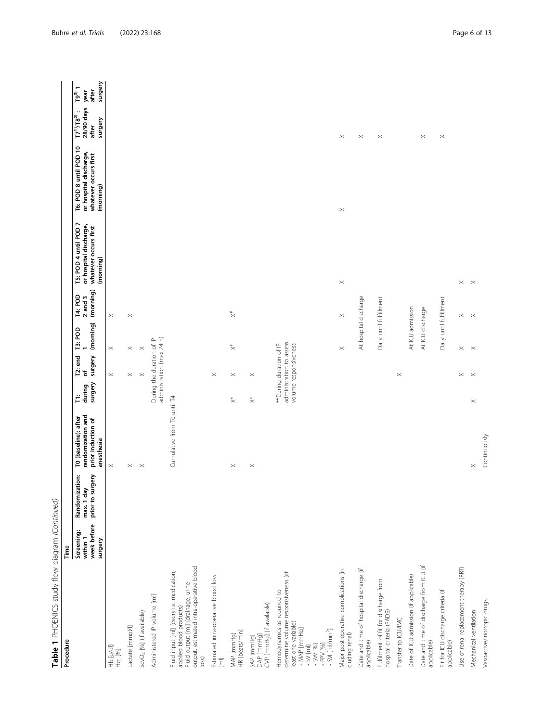| Table 1 PHOENICS study flow diagram (Continued)<br>Procedure                                                                                                                       | Time                                             |                                                        |                                                                               |                        |                                                                              |                             |                                            |                                                                                       |                                                                                        |                                                       |                                        |
|------------------------------------------------------------------------------------------------------------------------------------------------------------------------------------|--------------------------------------------------|--------------------------------------------------------|-------------------------------------------------------------------------------|------------------------|------------------------------------------------------------------------------|-----------------------------|--------------------------------------------|---------------------------------------------------------------------------------------|----------------------------------------------------------------------------------------|-------------------------------------------------------|----------------------------------------|
|                                                                                                                                                                                    | week before<br>Screening:<br>within 1<br>surgery | Randomization:<br>rgery<br>max. 1 day<br>prior to surg | randomization and<br>TO (baseline): after<br>prior induction of<br>anesthesia | surgery<br>during<br>Ë | surgery<br>T <sub>2</sub> : end<br>Ⴆ                                         | (morning)<br><b>T3: POD</b> | (morning)<br><b>T4: POD</b><br>$2$ and $3$ | T5: POD 4 until POD 7<br>or hospital discharge,<br>whatever occurs first<br>(morning) | T6: POD 8 until POD 10<br>or hospital discharge,<br>whatever occurs first<br>(morning) | 28/90 days<br>$17^{10}/18^{20}$ :<br>surgery<br>after | surgery<br>$T9^{3)}1$<br>after<br>year |
| Hb [g/d]<br>Hct [%]                                                                                                                                                                |                                                  |                                                        | $\times$                                                                      |                        | $\! \times$                                                                  | $\times$                    | $\times$                                   |                                                                                       |                                                                                        |                                                       |                                        |
| Lactate [mmol/l]                                                                                                                                                                   |                                                  |                                                        | $\times$                                                                      |                        | $\! \times$                                                                  | $\times$                    | $\! \times$                                |                                                                                       |                                                                                        |                                                       |                                        |
| ScvO <sub>2</sub> [%] (if available)                                                                                                                                               |                                                  |                                                        | $\! \times$                                                                   |                        | $\times$                                                                     | $\times$                    |                                            |                                                                                       |                                                                                        |                                                       |                                        |
| Administered IP volume [ml]                                                                                                                                                        |                                                  |                                                        |                                                                               |                        | administration (max 24 h)<br>During the duration of IP                       |                             |                                            |                                                                                       |                                                                                        |                                                       |                                        |
| output, estimated intra-operative blood<br>Fluid input [m] (every i.v. medication,<br>Fluid output [ml] (drainage, urine<br>applied blood products)<br>$ 0$ ss)                    |                                                  |                                                        | Cumulative from T0 until T4                                                   |                        |                                                                              |                             |                                            |                                                                                       |                                                                                        |                                                       |                                        |
| Estimated intra-operative blood loss<br>$\boxed{\Xi}$                                                                                                                              |                                                  |                                                        |                                                                               |                        | $\! \times$                                                                  |                             |                                            |                                                                                       |                                                                                        |                                                       |                                        |
| HR [beats/min]<br>MAP [mmHg]                                                                                                                                                       |                                                  |                                                        | $\times$                                                                      | $\stackrel{*}{\times}$ | $\times$                                                                     | $\overline{\times}$         | $\stackrel{*}{\times}$                     |                                                                                       |                                                                                        |                                                       |                                        |
| CVP [mmHg] (if available)<br>SAP [mmHg]<br>DAP [mmHg]                                                                                                                              |                                                  |                                                        | $\times$                                                                      | $\stackrel{*}{\times}$ | $\times$                                                                     |                             |                                            |                                                                                       |                                                                                        |                                                       |                                        |
| determine volume responsiveness (at<br>Hemodynamics as required to<br>least one variable)<br>. MAP [mmHg]<br>$\cdot$ SVI [ml/min <sup>2</sup> ]<br>- SV [ml]<br>1961 WS<br>1961 WS |                                                  |                                                        |                                                                               |                        | administration to assess<br>volume responsiveness<br>**During duration of IP |                             |                                            |                                                                                       |                                                                                        |                                                       |                                        |
| Major post-operative complications (in-<br>cluding renal)                                                                                                                          |                                                  |                                                        |                                                                               |                        |                                                                              | $\times$                    | $\! \times$                                | $\times$                                                                              | $\! \times$                                                                            | $\times$                                              |                                        |
| Date and time of hospital discharge (if<br>applicable)                                                                                                                             |                                                  |                                                        |                                                                               |                        |                                                                              | At hospital discharge       |                                            |                                                                                       |                                                                                        | $\! \times$                                           |                                        |
| Fulfilment of fit for discharge from<br>hospital criteria (PADS)                                                                                                                   |                                                  |                                                        |                                                                               |                        |                                                                              | Daily until fulfillment     |                                            |                                                                                       |                                                                                        | $\times$                                              |                                        |
| Transfer to ICU/IMC                                                                                                                                                                |                                                  |                                                        |                                                                               |                        | $\times$                                                                     |                             |                                            |                                                                                       |                                                                                        |                                                       |                                        |
| Date of ICU admission (if applicable)                                                                                                                                              |                                                  |                                                        |                                                                               |                        |                                                                              | At ICU admission            |                                            |                                                                                       |                                                                                        |                                                       |                                        |
| Date and time of discharge from ICU (if<br>applicable)                                                                                                                             |                                                  |                                                        |                                                                               |                        |                                                                              | At ICU discharge            |                                            |                                                                                       |                                                                                        | $\times$                                              |                                        |
| Fit for ICU discharge criteria (if<br>applicable)                                                                                                                                  |                                                  |                                                        |                                                                               |                        |                                                                              | Daily until fulfillment     |                                            |                                                                                       |                                                                                        | $\! \times$                                           |                                        |
| Use of renal replacement therapy (RRT)                                                                                                                                             |                                                  |                                                        |                                                                               |                        | $\! \times$                                                                  | $\times$ $\times$           | $\times$                                   | $\times$                                                                              |                                                                                        |                                                       |                                        |
| Mechanical ventilation                                                                                                                                                             |                                                  |                                                        | $\times$                                                                      | $\times$               | $\mathbb{\times}$                                                            |                             | $\mathbb{R}^2$                             | $\overline{\phantom{1}}$ $\times$                                                     |                                                                                        |                                                       |                                        |
| Vasoactive/inotropic drugs                                                                                                                                                         |                                                  |                                                        | Continuously                                                                  |                        |                                                                              |                             |                                            |                                                                                       |                                                                                        |                                                       |                                        |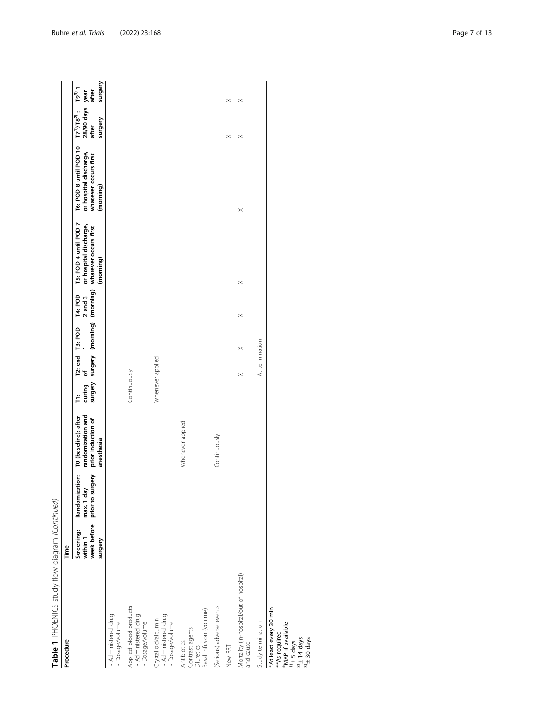| Procedure                                                              | Time                                                    |                                                  |                                                                               |              |                  |                |                                                                      |                                                                                       |                                                                                        |                                                            |                                       |
|------------------------------------------------------------------------|---------------------------------------------------------|--------------------------------------------------|-------------------------------------------------------------------------------|--------------|------------------|----------------|----------------------------------------------------------------------|---------------------------------------------------------------------------------------|----------------------------------------------------------------------------------------|------------------------------------------------------------|---------------------------------------|
|                                                                        | week before<br><b>Screening:</b><br>within 1<br>surgery | prior to surgery<br>Randomization:<br>max. 1 day | randomization and<br>TO (baseline): after<br>prior induction of<br>anesthesia | during       | T2: end<br>of    | <b>T3: POD</b> | surgery surgery (morning) (morning)<br>$2$ and $3$<br><b>T4: POD</b> | T5: POD 4 until POD 7<br>or hospital discharge,<br>whatever occurs first<br>(morning) | T6: POD 8 until POD 10<br>or hospital discharge,<br>whatever occurs first<br>(morning) | 28/90 days year<br>$17^{10}/18^{20}$ :<br>surgery<br>after | surgery<br>$\overline{19}^3$<br>after |
| . Administered drug<br>Dosage/volume                                   |                                                         |                                                  |                                                                               |              |                  |                |                                                                      |                                                                                       |                                                                                        |                                                            |                                       |
| Applied blood products<br>• Administered drug<br>Dosage/volume         |                                                         |                                                  |                                                                               | Continuously |                  |                |                                                                      |                                                                                       |                                                                                        |                                                            |                                       |
| Crystalloid/albumin<br>• Administered drug<br>Dosage/volume            |                                                         |                                                  |                                                                               |              | Whenever applied |                |                                                                      |                                                                                       |                                                                                        |                                                            |                                       |
| Basal infusion (volume)<br>Contrast agents<br>Antibiotics<br>Diuretics |                                                         |                                                  | Whenever applied                                                              |              |                  |                |                                                                      |                                                                                       |                                                                                        |                                                            |                                       |
| (Serious) adverse events                                               |                                                         |                                                  | Continuously                                                                  |              |                  |                |                                                                      |                                                                                       |                                                                                        |                                                            |                                       |
| New RRT                                                                |                                                         |                                                  |                                                                               |              |                  |                |                                                                      |                                                                                       |                                                                                        | $\times$                                                   | $\times$                              |
| Mortality (in-hospital/out of hospital)<br>and cause                   |                                                         |                                                  |                                                                               |              | $\times$         | $\times$       | $\times$                                                             | $\times$                                                                              | $\times$                                                                               | $\times$                                                   | $\times$                              |
| Study termination                                                      |                                                         |                                                  |                                                                               |              | At termination   |                |                                                                      |                                                                                       |                                                                                        |                                                            |                                       |
| *At least every 30 min<br>"MAP if available<br>** As required          |                                                         |                                                  |                                                                               |              |                  |                |                                                                      |                                                                                       |                                                                                        |                                                            |                                       |

 $\frac{10}{2}$  5 days<br> $\frac{20}{4}$  14 days<br> $\frac{30}{4}$  30 days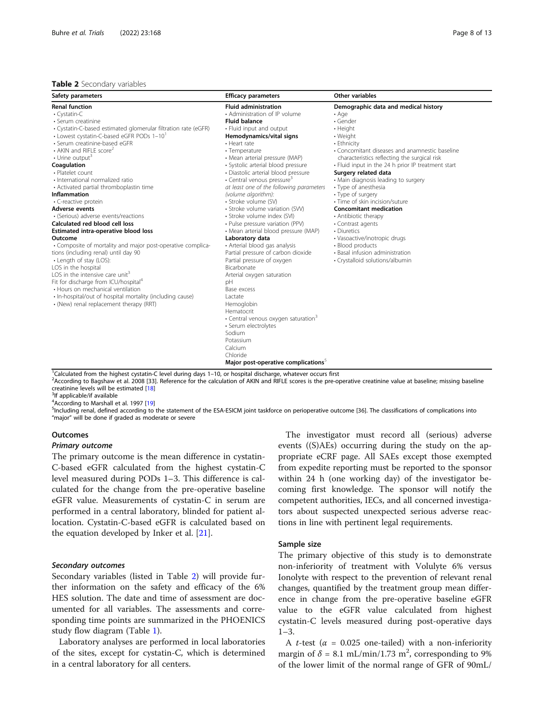## <span id="page-7-0"></span>Table 2 Secondary variables

| Safety parameters                                                                                                                                                                                                                                                                                                                                                                                                                                                                                                                                                                                                                                                                                                                                                                                                                                                                                                                                                                                                                  | <b>Efficacy parameters</b>                                                                                                                                                                                                                                                                                                                                                                                                                                                                                                                                                                                                                                                                                                                                                                                                                                                                                                                                                                   | <b>Other variables</b>                                                                                                                                                                                                                                                                                                                                                                                                                                                                                                                                                                                                                    |
|------------------------------------------------------------------------------------------------------------------------------------------------------------------------------------------------------------------------------------------------------------------------------------------------------------------------------------------------------------------------------------------------------------------------------------------------------------------------------------------------------------------------------------------------------------------------------------------------------------------------------------------------------------------------------------------------------------------------------------------------------------------------------------------------------------------------------------------------------------------------------------------------------------------------------------------------------------------------------------------------------------------------------------|----------------------------------------------------------------------------------------------------------------------------------------------------------------------------------------------------------------------------------------------------------------------------------------------------------------------------------------------------------------------------------------------------------------------------------------------------------------------------------------------------------------------------------------------------------------------------------------------------------------------------------------------------------------------------------------------------------------------------------------------------------------------------------------------------------------------------------------------------------------------------------------------------------------------------------------------------------------------------------------------|-------------------------------------------------------------------------------------------------------------------------------------------------------------------------------------------------------------------------------------------------------------------------------------------------------------------------------------------------------------------------------------------------------------------------------------------------------------------------------------------------------------------------------------------------------------------------------------------------------------------------------------------|
| <b>Renal function</b><br>$\cdot$ Cystatin-C<br>• Serum creatinine<br>· Cystatin-C-based estimated glomerular filtration rate (eGFR)<br>• Lowest cystatin-C-based eGFR PODs 1-10<br>· Serum creatinine-based eGFR<br>$\cdot$ AKIN and RIFLE score <sup>2</sup><br>$\cdot$ Urine output <sup>3</sup><br>Coagulation<br>· Platelet count<br>· International normalized ratio<br>• Activated partial thromboplastin time<br><b>Inflammation</b><br>• C-reactive protein<br><b>Adverse events</b><br>· (Serious) adverse events/reactions<br>Calculated red blood cell loss<br>Estimated intra-operative blood loss<br>Outcome<br>• Composite of mortality and major post-operative complica-<br>tions (including renal) until day 90<br>• Length of stay (LOS):<br>LOS in the hospital<br>LOS in the intensive care unit <sup>3</sup><br>Fit for discharge from ICU/hospital <sup>4</sup><br>• Hours on mechanical ventilation<br>· In-hospital/out of hospital mortality (including cause)<br>• (New) renal replacement therapy (RRT) | <b>Fluid administration</b><br>• Administration of IP volume<br><b>Fluid balance</b><br>• Fluid input and output<br>Hemodynamics/vital signs<br>• Heart rate<br>• Temperature<br>• Mean arterial pressure (MAP)<br>· Systolic arterial blood pressure<br>· Diastolic arterial blood pressure<br>• Central venous pressure <sup>3</sup><br>at least one of the following parameters<br>(volume algorithm):<br>· Stroke volume (SV)<br>• Stroke volume variation (SVV)<br>· Stroke volume index (SVI)<br>• Pulse pressure variation (PPV)<br>• Mean arterial blood pressure (MAP)<br>Laboratory data<br>• Arterial blood gas analysis<br>Partial pressure of carbon dioxide<br>Partial pressure of oxygen<br>Bicarbonate<br>Arterial oxygen saturation<br>pH<br>Base excess<br>Lactate<br>Hemoglobin<br>Hematocrit<br>• Central venous oxygen saturation <sup>3</sup><br>· Serum electrolytes<br>Sodium<br>Potassium<br>Calcium<br>Chloride<br>Major post-operative complications <sup>5</sup> | Demographic data and medical history<br>$\cdot$ Age<br>$\cdot$ Gender<br>• Height<br>• Weight<br>• Ethnicity<br>• Concomitant diseases and anamnestic baseline<br>characteristics reflecting the surgical risk<br>• Fluid input in the 24 h prior IP treatment start<br>Surgery related data<br>• Main diagnosis leading to surgery<br>• Type of anesthesia<br>• Type of surgery<br>· Time of skin incision/suture<br><b>Concomitant medication</b><br>• Antibiotic therapy<br>• Contrast agents<br>• Diuretics<br>· Vasoactive/inotropic drugs<br>• Blood products<br>• Basal infusion administration<br>· Crystalloid solutions/albumin |

<sup>1</sup>Calculated from the highest cystatin-C level during days 1–10, or hospital discharge, whatever occurs first <sup>2</sup> according to Banchaw at al. 2008 [33] Reference for the calculation of AKIN and RIELE correction the pre-o <sup>2</sup> According to Bagshaw et al. 2008 [33]. Reference for the calculation of AKIN and RIFLE scores is the pre-operative creatinine value at baseline; missing baseline

creatinine levels will be estimated [[18](#page-12-0)] <sup>3</sup>If applicable/if available

 $^{4}$ According to Marshall et al. 1997 [[19\]](#page-12-0) <sup>5</sup>Including renal, defined according to the statement of the ESA-ESICM joint taskforce on perioperative outcome [36]. The classifications of complications into

"major" will be done if graded as moderate or severe

#### **Outcomes**

#### Primary outcome

The primary outcome is the mean difference in cystatin-C-based eGFR calculated from the highest cystatin-C level measured during PODs 1–3. This difference is calculated for the change from the pre-operative baseline eGFR value. Measurements of cystatin-C in serum are performed in a central laboratory, blinded for patient allocation. Cystatin-C-based eGFR is calculated based on the equation developed by Inker et al. [[21\]](#page-12-0).

## Secondary outcomes

Secondary variables (listed in Table 2) will provide further information on the safety and efficacy of the 6% HES solution. The date and time of assessment are documented for all variables. The assessments and corresponding time points are summarized in the PHOENICS study flow diagram (Table [1\)](#page-4-0).

Laboratory analyses are performed in local laboratories of the sites, except for cystatin-C, which is determined in a central laboratory for all centers.

The investigator must record all (serious) adverse events ((S)AEs) occurring during the study on the appropriate eCRF page. All SAEs except those exempted from expedite reporting must be reported to the sponsor within 24 h (one working day) of the investigator becoming first knowledge. The sponsor will notify the competent authorities, IECs, and all concerned investigators about suspected unexpected serious adverse reactions in line with pertinent legal requirements.

### Sample size

The primary objective of this study is to demonstrate non-inferiority of treatment with Volulyte 6% versus Ionolyte with respect to the prevention of relevant renal changes, quantified by the treatment group mean difference in change from the pre-operative baseline eGFR value to the eGFR value calculated from highest cystatin-C levels measured during post-operative days 1–3.

A *t*-test ( $\alpha$  = 0.025 one-tailed) with a non-inferiority margin of  $\delta = 8.1$  mL/min/1.73 m<sup>2</sup>, corresponding to 9% of the lower limit of the normal range of GFR of 90mL/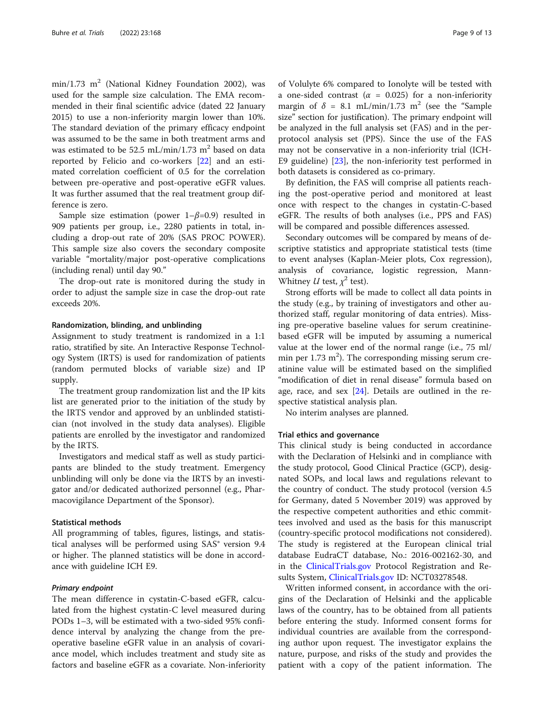$min/1.73$  m<sup>2</sup> (National Kidney Foundation 2002), was used for the sample size calculation. The EMA recommended in their final scientific advice (dated 22 January 2015) to use a non-inferiority margin lower than 10%. The standard deviation of the primary efficacy endpoint was assumed to be the same in both treatment arms and was estimated to be 52.5 mL/min/1.73 m<sup>2</sup> based on data reported by Felicio and co-workers [[22\]](#page-12-0) and an estimated correlation coefficient of 0.5 for the correlation between pre-operative and post-operative eGFR values. It was further assumed that the real treatment group difference is zero.

Sample size estimation (power  $1-\beta=0.9$ ) resulted in 909 patients per group, i.e., 2280 patients in total, including a drop-out rate of 20% (SAS PROC POWER). This sample size also covers the secondary composite variable "mortality/major post-operative complications (including renal) until day 90."

The drop-out rate is monitored during the study in order to adjust the sample size in case the drop-out rate exceeds 20%.

## Randomization, blinding, and unblinding

Assignment to study treatment is randomized in a 1:1 ratio, stratified by site. An Interactive Response Technology System (IRTS) is used for randomization of patients (random permuted blocks of variable size) and IP supply.

The treatment group randomization list and the IP kits list are generated prior to the initiation of the study by the IRTS vendor and approved by an unblinded statistician (not involved in the study data analyses). Eligible patients are enrolled by the investigator and randomized by the IRTS.

Investigators and medical staff as well as study participants are blinded to the study treatment. Emergency unblinding will only be done via the IRTS by an investigator and/or dedicated authorized personnel (e.g., Pharmacovigilance Department of the Sponsor).

## Statistical methods

All programming of tables, figures, listings, and statistical analyses will be performed using SAS<sup>®</sup> version 9.4 or higher. The planned statistics will be done in accordance with guideline ICH E9.

## Primary endpoint

The mean difference in cystatin-C-based eGFR, calculated from the highest cystatin-C level measured during PODs 1–3, will be estimated with a two-sided 95% confidence interval by analyzing the change from the preoperative baseline eGFR value in an analysis of covariance model, which includes treatment and study site as factors and baseline eGFR as a covariate. Non-inferiority

of Volulyte 6% compared to Ionolyte will be tested with a one-sided contrast ( $\alpha$  = 0.025) for a non-inferiority margin of  $\delta = 8.1$  mL/min/1.73 m<sup>2</sup> (see the "Sample size" section for justification). The primary endpoint will be analyzed in the full analysis set (FAS) and in the perprotocol analysis set (PPS). Since the use of the FAS may not be conservative in a non-inferiority trial (ICH-E9 guideline) [\[23](#page-12-0)], the non-inferiority test performed in both datasets is considered as co-primary.

By definition, the FAS will comprise all patients reaching the post-operative period and monitored at least once with respect to the changes in cystatin-C-based eGFR. The results of both analyses (i.e., PPS and FAS) will be compared and possible differences assessed.

Secondary outcomes will be compared by means of descriptive statistics and appropriate statistical tests (time to event analyses (Kaplan-Meier plots, Cox regression), analysis of covariance, logistic regression, Mann-Whitney *U* test,  $x^2$  test).

Strong efforts will be made to collect all data points in the study (e.g., by training of investigators and other authorized staff, regular monitoring of data entries). Missing pre-operative baseline values for serum creatininebased eGFR will be imputed by assuming a numerical value at the lower end of the normal range (i.e., 75 ml/ min per  $1.73 \text{ m}^2$ ). The corresponding missing serum creatinine value will be estimated based on the simplified "modification of diet in renal disease" formula based on age, race, and sex  $[24]$ . Details are outlined in the respective statistical analysis plan.

No interim analyses are planned.

#### Trial ethics and governance

This clinical study is being conducted in accordance with the Declaration of Helsinki and in compliance with the study protocol, Good Clinical Practice (GCP), designated SOPs, and local laws and regulations relevant to the country of conduct. The study protocol (version 4.5 for Germany, dated 5 November 2019) was approved by the respective competent authorities and ethic committees involved and used as the basis for this manuscript (country-specific protocol modifications not considered). The study is registered at the European clinical trial database EudraCT database, No.: 2016-002162-30, and in the [ClinicalTrials.gov](http://clinicaltrials.gov) Protocol Registration and Results System, [ClinicalTrials.gov](http://clinicaltrials.gov) ID: NCT03278548.

Written informed consent, in accordance with the origins of the Declaration of Helsinki and the applicable laws of the country, has to be obtained from all patients before entering the study. Informed consent forms for individual countries are available from the corresponding author upon request. The investigator explains the nature, purpose, and risks of the study and provides the patient with a copy of the patient information. The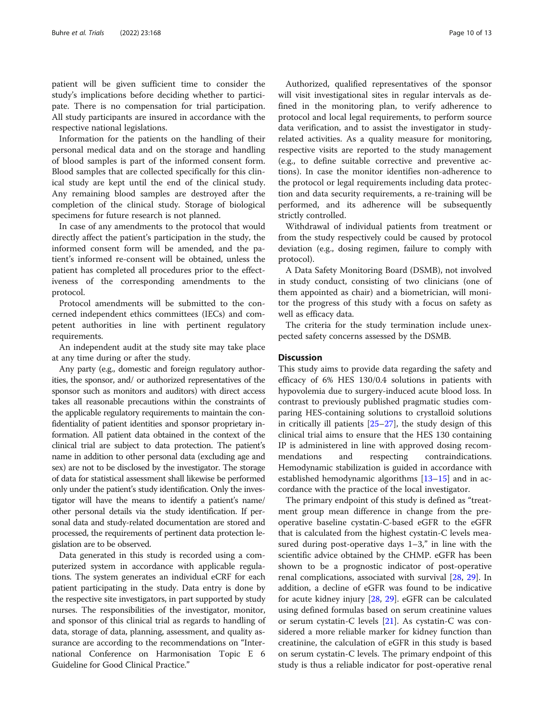patient will be given sufficient time to consider the study's implications before deciding whether to participate. There is no compensation for trial participation. All study participants are insured in accordance with the respective national legislations.

Information for the patients on the handling of their personal medical data and on the storage and handling of blood samples is part of the informed consent form. Blood samples that are collected specifically for this clinical study are kept until the end of the clinical study. Any remaining blood samples are destroyed after the completion of the clinical study. Storage of biological specimens for future research is not planned.

In case of any amendments to the protocol that would directly affect the patient's participation in the study, the informed consent form will be amended, and the patient's informed re-consent will be obtained, unless the patient has completed all procedures prior to the effectiveness of the corresponding amendments to the protocol.

Protocol amendments will be submitted to the concerned independent ethics committees (IECs) and competent authorities in line with pertinent regulatory requirements.

An independent audit at the study site may take place at any time during or after the study.

Any party (e.g., domestic and foreign regulatory authorities, the sponsor, and/ or authorized representatives of the sponsor such as monitors and auditors) with direct access takes all reasonable precautions within the constraints of the applicable regulatory requirements to maintain the confidentiality of patient identities and sponsor proprietary information. All patient data obtained in the context of the clinical trial are subject to data protection. The patient's name in addition to other personal data (excluding age and sex) are not to be disclosed by the investigator. The storage of data for statistical assessment shall likewise be performed only under the patient's study identification. Only the investigator will have the means to identify a patient's name/ other personal details via the study identification. If personal data and study-related documentation are stored and processed, the requirements of pertinent data protection legislation are to be observed.

Data generated in this study is recorded using a computerized system in accordance with applicable regulations. The system generates an individual eCRF for each patient participating in the study. Data entry is done by the respective site investigators, in part supported by study nurses. The responsibilities of the investigator, monitor, and sponsor of this clinical trial as regards to handling of data, storage of data, planning, assessment, and quality assurance are according to the recommendations on "International Conference on Harmonisation Topic E 6 Guideline for Good Clinical Practice."

Authorized, qualified representatives of the sponsor will visit investigational sites in regular intervals as defined in the monitoring plan, to verify adherence to protocol and local legal requirements, to perform source data verification, and to assist the investigator in studyrelated activities. As a quality measure for monitoring, respective visits are reported to the study management (e.g., to define suitable corrective and preventive actions). In case the monitor identifies non-adherence to the protocol or legal requirements including data protection and data security requirements, a re-training will be performed, and its adherence will be subsequently strictly controlled.

Withdrawal of individual patients from treatment or from the study respectively could be caused by protocol deviation (e.g., dosing regimen, failure to comply with protocol).

A Data Safety Monitoring Board (DSMB), not involved in study conduct, consisting of two clinicians (one of them appointed as chair) and a biometrician, will monitor the progress of this study with a focus on safety as well as efficacy data.

The criteria for the study termination include unexpected safety concerns assessed by the DSMB.

## **Discussion**

This study aims to provide data regarding the safety and efficacy of 6% HES 130/0.4 solutions in patients with hypovolemia due to surgery-induced acute blood loss. In contrast to previously published pragmatic studies comparing HES-containing solutions to crystalloid solutions in critically ill patients [\[25](#page-12-0)–[27\]](#page-12-0), the study design of this clinical trial aims to ensure that the HES 130 containing IP is administered in line with approved dosing recommendations and respecting contraindications. Hemodynamic stabilization is guided in accordance with established hemodynamic algorithms [\[13](#page-12-0)–[15\]](#page-12-0) and in accordance with the practice of the local investigator.

The primary endpoint of this study is defined as "treatment group mean difference in change from the preoperative baseline cystatin-C-based eGFR to the eGFR that is calculated from the highest cystatin-C levels measured during post-operative days  $1-3$ ," in line with the scientific advice obtained by the CHMP. eGFR has been shown to be a prognostic indicator of post-operative renal complications, associated with survival [[28](#page-12-0), [29](#page-12-0)]. In addition, a decline of eGFR was found to be indicative for acute kidney injury [\[28](#page-12-0), [29\]](#page-12-0). eGFR can be calculated using defined formulas based on serum creatinine values or serum cystatin-C levels [[21\]](#page-12-0). As cystatin-C was considered a more reliable marker for kidney function than creatinine, the calculation of eGFR in this study is based on serum cystatin-C levels. The primary endpoint of this study is thus a reliable indicator for post-operative renal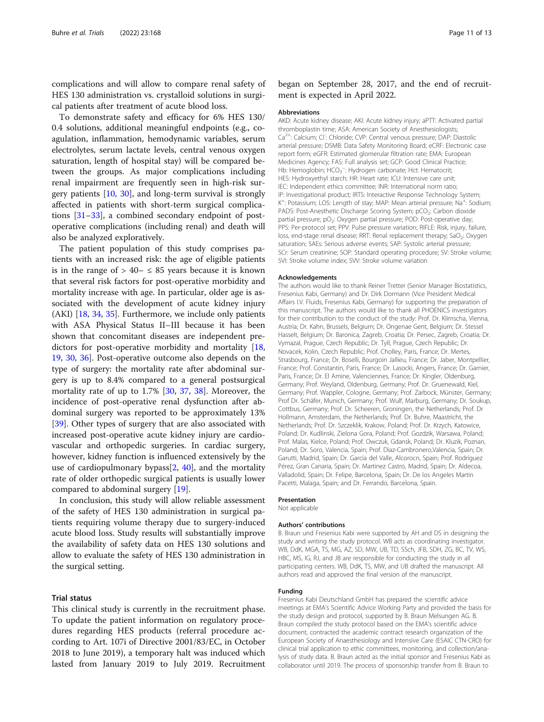complications and will allow to compare renal safety of HES 130 administration vs. crystalloid solutions in surgical patients after treatment of acute blood loss.

To demonstrate safety and efficacy for 6% HES 130/ 0.4 solutions, additional meaningful endpoints (e.g., coagulation, inflammation, hemodynamic variables, serum electrolytes, serum lactate levels, central venous oxygen saturation, length of hospital stay) will be compared between the groups. As major complications including renal impairment are frequently seen in high-risk surgery patients [\[10,](#page-11-0) [30](#page-12-0)], and long-term survival is strongly affected in patients with short-term surgical complications [[31](#page-12-0)–[33\]](#page-12-0), a combined secondary endpoint of postoperative complications (including renal) and death will also be analyzed exploratively.

The patient population of this study comprises patients with an increased risk: the age of eligible patients is in the range of  $> 40 - \leq 85$  years because it is known that several risk factors for post-operative morbidity and mortality increase with age. In particular, older age is associated with the development of acute kidney injury (AKI) [[18,](#page-12-0) [34,](#page-12-0) [35\]](#page-12-0). Furthermore, we include only patients with ASA Physical Status II–III because it has been shown that concomitant diseases are independent predictors for post-operative morbidity and mortality [[18](#page-12-0), [19,](#page-12-0) [30,](#page-12-0) [36](#page-12-0)]. Post-operative outcome also depends on the type of surgery: the mortality rate after abdominal surgery is up to 8.4% compared to a general postsurgical mortality rate of up to 1.7% [\[30](#page-12-0), [37,](#page-12-0) [38\]](#page-12-0). Moreover, the incidence of post-operative renal dysfunction after abdominal surgery was reported to be approximately 13% [[39\]](#page-12-0). Other types of surgery that are also associated with increased post-operative acute kidney injury are cardiovascular and orthopedic surgeries. In cardiac surgery, however, kidney function is influenced extensively by the use of cardiopulmonary bypass[[2,](#page-11-0) [40](#page-12-0)], and the mortality rate of older orthopedic surgical patients is usually lower compared to abdominal surgery [\[19](#page-12-0)].

In conclusion, this study will allow reliable assessment of the safety of HES 130 administration in surgical patients requiring volume therapy due to surgery-induced acute blood loss. Study results will substantially improve the availability of safety data on HES 130 solutions and allow to evaluate the safety of HES 130 administration in the surgical setting.

## Trial status

This clinical study is currently in the recruitment phase. To update the patient information on regulatory procedures regarding HES products (referral procedure according to Art. 107i of Directive 2001/83/EC, in October 2018 to June 2019), a temporary halt was induced which lasted from January 2019 to July 2019. Recruitment began on September 28, 2017, and the end of recruitment is expected in April 2022.

#### Abbreviations

AKD: Acute kidney disease; AKI: Acute kidney injury; aPTT: Activated partial thromboplastin time; ASA: American Society of Anesthesiologists; Ca<sup>2+</sup>: Calcium; Cl<sup>-</sup>: Chloride; CVP: Central venous pressure; DAP: Diastolic arterial pressure; DSMB: Data Safety Monitoring Board; eCRF: Electronic case report form; eGFR: Estimated glomerular filtration rate; EMA: European Medicines Agency; FAS: Full analysis set; GCP: Good Clinical Practice; Hb: Hemoglobin; HCO<sub>3</sub><sup>-</sup>: Hydrogen carbonate; Hct: Hematocrit; HES: Hydroxyethyl starch; HR: Heart rate; ICU: Intensive care unit; IEC: Independent ethics committee; INR: International norm ratio; IP: Investigational product; IRTS: Interactive Response Technology System; K<sup>+</sup>: Potassium; LOS: Length of stay; MAP: Mean arterial pressure; Na<sup>+</sup>: Sodium; PADS: Post-Anesthetic Discharge Scoring System; pCO<sub>2</sub>: Carbon dioxide partial pressure; pO<sub>2</sub>: Oxygen partial pressure; POD: Post-operative day; PPS: Per-protocol set; PPV: Pulse pressure variation; RIFLE: Risk, injury, failure, loss, end-stage renal disease; RRT: Renal replacement therapy; SaO<sub>2</sub>: Oxygen saturation; SAEs: Serious adverse events; SAP: Systolic arterial pressure; SCr: Serum creatinine; SOP: Standard operating procedure; SV: Stroke volume; SVI: Stroke volume index; SVV: Stroke volume variation

#### Acknowledgements

The authors would like to thank Reiner Tretter (Senior Manager Biostatistics, Fresenius Kabi, Germany) and Dr. Dirk Dormann (Vice President Medical Affairs I.V. Fluids, Fresenius Kabi, Germany) for supporting the preparation of this manuscript. The authors would like to thank all PHOENICS investigators for their contribution to the conduct of the study: Prof. Dr. Klimscha, Vienna, Austria; Dr. Kahn, Brussels, Belgium; Dr. Ongenae Gent, Belgium; Dr. Stessel Hasselt, Belgium; Dr. Baronica, Zagreb, Croatia; Dr. Persec, Zagreb, Croatia; Dr. Vymazal, Prague, Czech Republic; Dr. Tyll, Prague, Czech Republic; Dr. Novacek, Kolin, Czech Republic; Prof. Cholley, Paris, France; Dr. Mertes, Strasbourg, France; Dr. Boselli, Bourgoin Jallieu, France; Dr. Jaber, Montpellier, France; Prof. Constantin, Paris, France; Dr. Lasocki, Angers, France; Dr. Garnier, Paris, France; Dr. El Amine, Valenciennes, France; Dr. Kingler, Oldenburg, Germany; Prof. Weyland, Oldenburg, Germany; Prof. Dr. Gruenewald, Kiel, Germany; Prof. Wappler, Cologne, Germany; Prof. Zarbock, Münster, Germany; Prof Dr. Schäfer, Munich, Germany; Prof. Wulf, Marburg, Germany; Dr. Soukup, Cottbus, Germany; Prof. Dr. Scheeren, Groningen, the Netherlands; Prof. Dr Hollmann, Amsterdam, the Netherlands; Prof. Dr. Buhre, Maastricht, the Netherlands; Prof. Dr. Szczeklik, Krakow, Poland; Prof. Dr. Krzych, Katowice, Poland; Dr. Kudlinski, Zielona Gora, Poland; Prof. Gozdzik, Warsawa, Poland; Prof. Malas, Kielce, Poland; Prof. Owczuk, Gdansk, Poland; Dr. Kluzik, Poznan, Poland; Dr. Soro, Valencia, Spain; Prof. Diaz-Cambronero,Valencia, Spain; Dr. Garutti, Madrid, Spain; Dr. García del Valle, Alcorocn, Spain; Prof. Rodríguez Pérez, Gran Canaria, Spain; Dr. Martinez Castro, Madrid, Spain; Dr. Aldecoa, Valladolid, Spain; Dr. Felipe, Barcelona, Spain; Dr. De los Angeles Martin Pacetti, Malaga, Spain; and Dr. Ferrando, Barcelona, Spain.

#### Presentation

Not applicable

#### Authors' contributions

B. Braun und Fresenius Kabi were supported by AH and DS in designing the study and writing the study protocol. WB acts as coordinating investigator. WB, DdK, MGA, TS, MG, AZ, SD, MW, UB, TD, SSch, JFB, SDH, ZG, BC, TV, WS, HBC, MS, IG, RJ, and JB are responsible for conducting the study in all participating centers. WB, DdK, TS, MW, and UB drafted the manuscript. All authors read and approved the final version of the manuscript.

## Funding

Fresenius Kabi Deutschland GmbH has prepared the scientific advice meetings at EMA's Scientific Advice Working Party and provided the basis for the study design and protocol, supported by B. Braun Melsungen AG. B. Braun compiled the study protocol based on the EMA's scientific advice document, contracted the academic contract research organization of the European Society of Anaesthesiology and Intensive Care (ESAIC CTN-CRO) for clinical trial application to ethic committees, monitoring, and collection/analysis of study data. B. Braun acted as the initial sponsor and Fresenius Kabi as collaborator until 2019. The process of sponsorship transfer from B. Braun to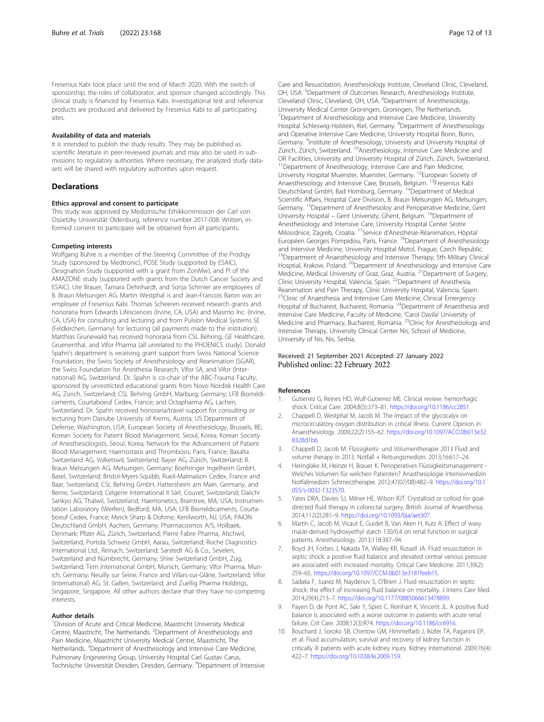<span id="page-11-0"></span>Fresenius Kabi took place until the end of March 2020. With the switch of sponsorship, the roles of collaborator, and sponsor changed accordingly. This clinical study is financed by Fresenius Kabi. Investigational test and reference products are produced and delivered by Fresenius Kabi to all participating sites.

## Availability of data and materials

It is intended to publish the study results. They may be published as scientific literature in peer-reviewed journals and may also be used in submissions to regulatory authorities. Where necessary, the analyzed study datasets will be shared with regulatory authorities upon request.

#### Declarations

#### Ethics approval and consent to participate

This study was approved by Medizinische Ethikkommission der Carl von Ossietzky Universität Oldenburg, reference number 2017-008. Written, informed consent to participate will be obtained from all participants.

#### Competing interests

Wolfgang Buhre is a member of the Steering Committee of the Prodigy Study (sponsored by Medtronic), POSE Study (supported by ESAIC), Designation Study (supported with a grant from ZonMw), and PI of the AMAZONE study (supported with grants from the Dutch Cancer Society and ESAIC). Ute Brauer, Tamara Dehnhardt, and Sonja Schmier are employees of B. Braun Melsungen AG. Martin Westphal is and Jean-Francois Baron was an employee of Fresenius Kabi. Thomas Scheeren received research grants and honoraria from Edwards Lifesciences (Irvine, CA, USA) and Masimo Inc. (Irvine, CA, USA) for consulting and lecturing and from Pulsion Medical Systems SE (Feldkirchen, Germany) for lecturing (all payments made to the institution). Matthias Grunewald has received honoraria from CSL Behring, GE Healthcare, Gruenenthal, and Vifor Pharma (all unrelated to the PHOENICS study). Donald Spahn's department is receiving grant support from Swiss National Science Foundation, the Swiss Society of Anesthesiology and Reanimation (SGAR), the Swiss Foundation for Anesthesia Research, Vifor SA, and Vifor (International) AG, Switzerland. Dr. Spahn is co-chair of the ABC-Trauma Faculty, sponsored by unrestricted educational grants from Novo Nordisk Health Care AG, Zurich, Switzerland; CSL Behring GmbH, Marburg, Germany; LFB Biomédicaments, Courtaboeuf Cedex, France; and Octapharma AG, Lachen, Switzerland. Dr. Spahn received honoraria/travel support for consulting or lecturing from Danube University of Krems, Austria; US Department of Defense, Washington, USA; European Society of Anesthesiology, Brussels, BE; Korean Society for Patient Blood Management, Seoul, Korea; Korean Society of Anesthesiologists, Seoul, Korea; Network for the Advancement of Patient Blood Management, Haemostasis and Thrombosis, Paris, France; Baxalta Switzerland AG, Volketswil, Switzerland; Bayer AG, Zürich, Switzerland; B. Braun Melsungen AG, Melsungen, Germany; Boehringer Ingelheim GmbH, Basel, Switzerland; Bristol-Myers-Squibb, Rueil-Malmaison Cedex, France and Baar, Switzerland; CSL Behring GmbH, Hattersheim am Main, Germany, and Berne, Switzerland; Celgene International II Sàrl, Couvet, Switzerland; Daiichi Sankyo AG, Thalwil, Switzerland; Haemonetics, Braintree, MA, USA; Instrumentation Laboratory (Werfen), Bedford, MA, USA; LFB Biomédicaments, Courtaboeuf Cedex, France; Merck Sharp & Dohme, Kenilworth, NJ, USA; PAION Deutschland GmbH, Aachen, Germany; Pharmacosmos A/S, Holbaek, Denmark; Pfizer AG, Zürich, Switzerland; Pierre Fabre Pharma, Alschwil, Switzerland, Portola Schweiz GmbH, Aarau, Switzerland; Roche Diagnostics International Ltd., Reinach, Switzerland; Sarstedt AG & Co., Sevelen, Switzerland and Nümbrecht, Germany; Shire Switzerland GmbH, Zug, Switzerland; Tem International GmbH, Munich, Germany; Vifor Pharma, Munich, Germany; Neuilly sur Seine, France and Villars-sur-Glâne, Switzerland; Vifor (International) AG, St. Gallen, Switzerland; and Zuellig Pharma Holdings, Singapore, Singapore. All other authors declare that they have no competing interests.

## Author details

<sup>1</sup> Division of Acute and Critical Medicine, Maastricht University Medical Centre, Maastricht, The Netherlands. <sup>2</sup>Department of Anesthesiology and Pain Medicine, Maastricht University Medical Centre, Maastricht, The Netherlands. <sup>3</sup>Department of Anesthesiology and Intensive Care Medicine, Pulmonary Engineering Group, University Hospital Carl Gustav Carus, Technische Universität Dresden, Dresden, Germany. <sup>4</sup>Department of Intensive Care and Resuscitation, Anesthesiology Institute, Cleveland Clinic, Cleveland, OH, USA.<sup>5</sup> Department of Outcomes Research, Anesthesiology Institute, Cleveland Clinic, Cleveland, OH, USA. <sup>6</sup>Department of Anesthesiology, University Medical Center Groningen, Groningen, The Netherlands. <sup>7</sup>Department of Anesthesiology and Intensive Care Medicine, University Hospital Schleswig-Holstein, Kiel, Germany. <sup>8</sup>Department of Anesthesiology and Operative Intensive Care Medicine, University Hospital Bonn, Bonn, Germany. <sup>9</sup>Institute of Anesthesiology, University and University Hospital of Zürich, Zürich, Switzerland. 10Anesthesiology, Intensive Care Medicine and OR Facilities, University and University Hospital of Zürich, Zürich, Switzerland. <sup>11</sup>Department of Anesthesiology, Intensive Care and Pain Medicine, University Hospital Muenster, Muenster, Germany. 12European Society of Anaesthesiology and Intensive Care, Brussels, Belgium. 13Fresenius Kabi Deutschland GmbH, Bad Homburg, Germany. 14Department of Medical Scientific Affairs, Hospital Care Division, B. Braun Melsungen AG, Melsungen, Germany. 15Department of Anesthesioloy and Perioperative Medicine, Gent University Hospital – Gent University, Ghent, Belgium. <sup>16</sup>Department of Anesthesiology and Intensive Care, University Hospital Center Sestre Milosrdnice, Zagreb, Croatia. 17Service d'Anesthésie-Réanimation, Hôpital Européen Georges Pompidou, Paris, France. <sup>18</sup>Department of Anesthesiology and Intensive Medicine, University Hospital Motol, Prague, Czech Republic. <sup>19</sup>Department of Anaesthesiology and Intensive Therapy, 5th Military Clinical Hosptial, Krakow, Poland. <sup>20</sup>Department of Anesthesiology and Intensive Care Medicine, Medical University of Graz, Graz, Austria. 21Department of Surgery, Clinic University Hospital, Valencia, Spain. 22Department of Anesthesia, Reanimation and Pain Therapy, Clinic University Hospital, Valencia, Spain. <sup>23</sup>Clinic of Anaesthesia and Intensive Care Medicine, Clinical Emergency Hospital of Bucharest, Bucharest, Romania. 24Department of Anaesthesia and Intensive Care Medicine, Faculty of Medicine, 'Carol Davila' University of Medicine and Pharmacy, Bucharest, Romania. <sup>25</sup>Clinic for Anesthesiology and Intensive Therapy, University Clinical Center Nis, School of Medicine, University of Nis, Nis, Serbia.

## Received: 21 September 2021 Accepted: 27 January 2022 Published online: 22 February 2022

#### References

- 1. Gutierrez G, Reines HD, Wulf-Gutierrez ME. Clinical review: hemorrhagic shock. Critical Care. 2004;8(5):373–81. <https://doi.org/10.1186/cc2851>.
- 2. Chappell D, Westphal M, Jacob M. The impact of the glycocalyx on microcirculatory oxygen distribution in critical illness. Current Opinion in Anaesthesiology. 2009;22(2):155–62. [https://doi.org/10.1097/ACO.0b013e32](https://doi.org/10.1097/ACO.0b013e328328d1b6) [8328d1b6.](https://doi.org/10.1097/ACO.0b013e328328d1b6)
- 3. Chappell D, Jacob M. Flüssigkeits- und Volumentherapie 2013 Fluid and volume therapy in 2013. Notfall + Rettungsmedizin. 2013;16:617–24.
- 4. Heringlake M, Heinze H, Brauer K. Perioperatives Flüssigkeitsmanagement Welches Volumen für welchen Patienten? Anasthesiologie Intensivmedizin Notfallmedizin Schmerztherapie. 2012;47(07/08):482–9. [https://doi.org/10.1](https://doi.org/10.1055/s-0032-1323570) [055/s-0032-1323570.](https://doi.org/10.1055/s-0032-1323570)
- 5. Yates DRA, Davies SJ, Milner HE, Wilson RJT. Crystalloid or colloid for goaldirected fluid therapy in colorectal surgery. British Journal of Anaesthesia. 2014;112(2):281–9. [https://doi.org/10.1093/bja/aet307.](https://doi.org/10.1093/bja/aet307)
- Martin C, Jacob M, Vicaut E, Guidet B, Van Aken H, Kurz A. Effect of waxy maize-derived hydroxyethyl starch 130/0.4 on renal function in surgical patients. Anesthesiology. 2013;118:387–94.
- 7. Boyd JH, Forbes J, Nakada TA, Walley KR, Russell JA. Fluid resuscitation in septic shock: a positive fluid balance and elevated central venous pressure are associated with increased mortality. Critical Care Medicine. 2011;39(2): 259–65. [https://doi.org/10.1097/CCM.0b013e3181feeb15.](https://doi.org/10.1097/CCM.0b013e3181feeb15)
- 8. Sadaka F, Juarez M, Naydenov S, O'Brien J. Fluid resuscitation in septic shock: the effect of increasing fluid balance on mortality. J Intens Care Med. 2014;29(4):213–7. <https://doi.org/10.1177/0885066613478899>.
- 9. Payen D, de Pont AC, Sakr Y, Spies C, Reinhart K, Vincent JL. A positive fluid balance is associated with a worse outcome in patients with acute renal failure. Crit Care. 2008;12(3):R74. [https://doi.org/10.1186/cc6916.](https://doi.org/10.1186/cc6916)
- 10. Bouchard J, Soroko SB, Chertow GM, Himmelfarb J, Ikizler TA, Paganini EP, et al. Fluid accumulation, survival and recovery of kidney function in critically ill patients with acute kidney injury. Kidney International. 2009;76(4): 422–7. <https://doi.org/10.1038/ki.2009.159>.